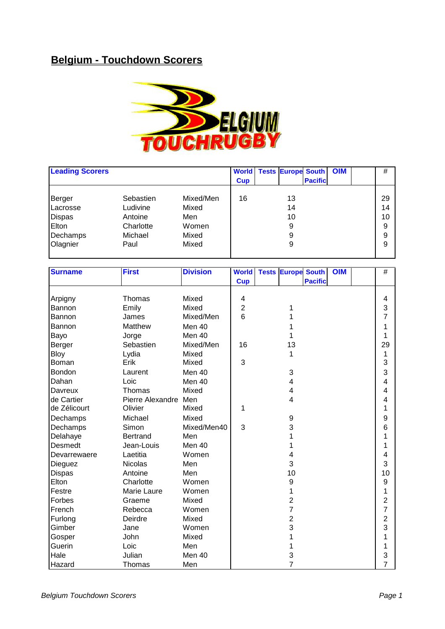## **Belgium - Touchdown Scorers**



| <b>Leading Scorers</b> |           |           | <b>World</b><br><b>Cup</b> | <b>Tests Europe South</b> | <b>Pacific</b> | <b>OIM</b> | #  |
|------------------------|-----------|-----------|----------------------------|---------------------------|----------------|------------|----|
| Berger                 | Sebastien | Mixed/Men | 16                         | 13                        |                |            | 29 |
| Lacrosse               | Ludivine  | Mixed     |                            | 14                        |                |            | 14 |
| <b>Dispas</b>          | Antoine   | Men       |                            | 10                        |                |            | 10 |
| Elton                  | Charlotte | Women     |                            | 9                         |                |            | 9  |
| Dechamps               | Michael   | Mixed     |                            | 9                         |                |            | 9  |
| Olagnier               | Paul      | Mixed     |                            | 9                         |                |            | 9  |
|                        |           |           |                            |                           |                |            |    |

| <b>Surname</b> | <b>First</b>         | <b>Division</b> | <b>World</b>   | <b>Tests Europe South</b> |                | <b>OIM</b> | $\#$           |
|----------------|----------------------|-----------------|----------------|---------------------------|----------------|------------|----------------|
|                |                      |                 | <b>Cup</b>     |                           | <b>Pacific</b> |            |                |
|                |                      |                 |                |                           |                |            |                |
| Arpigny        | Thomas               | Mixed           | 4              |                           |                |            | 4              |
| Bannon         | Emily                | Mixed           | $\overline{2}$ | 1                         |                |            | 3              |
| Bannon         | James                | Mixed/Men       | 6              |                           |                |            | 7              |
| Bannon         | Matthew              | Men 40          |                |                           |                |            | 1              |
| Bayo           | Jorge                | Men 40          |                |                           |                |            | 1              |
| Berger         | Sebastien            | Mixed/Men       | 16             | 13                        |                |            | 29             |
| <b>Bloy</b>    | Lydia                | Mixed           |                | 1                         |                |            | 1              |
| Boman          | Erik                 | Mixed           | 3              |                           |                |            | 3              |
| Bondon         | Laurent              | Men 40          |                | 3                         |                |            | 3              |
| Dahan          | Loic                 | Men 40          |                | 4                         |                |            | 4              |
| Davreux        | Thomas               | Mixed           |                | 4                         |                |            | 4              |
| de Cartier     | Pierre Alexandre Men |                 |                | 4                         |                |            | 4              |
| de Zélicourt   | Olivier              | Mixed           | 1              |                           |                |            | 1              |
| Dechamps       | Michael              | Mixed           |                | 9                         |                |            | 9              |
| Dechamps       | Simon                | Mixed/Men40     | 3              | 3                         |                |            | 6              |
| Delahaye       | <b>Bertrand</b>      | Men             |                |                           |                |            | 1              |
| Desmedt        | Jean-Louis           | Men 40          |                |                           |                |            | 1              |
| Devarrewaere   | Laetitia             | Women           |                | 4                         |                |            | 4              |
| <b>Dieguez</b> | <b>Nicolas</b>       | Men             |                | 3                         |                |            | 3              |
| <b>Dispas</b>  | Antoine              | Men             |                | 10                        |                |            | 10             |
| Elton          | Charlotte            | Women           |                | 9                         |                |            | 9              |
| Festre         | Marie Laure          | Women           |                | 1                         |                |            | 1              |
| Forbes         | Graeme               | Mixed           |                | 2                         |                |            | 2              |
| French         | Rebecca              | Women           |                | $\overline{7}$            |                |            | $\overline{7}$ |
| Furlong        | Deirdre              | Mixed           |                | 2                         |                |            | $\overline{c}$ |
| Gimber         | Jane                 | Women           |                | 3                         |                |            | 3              |
| Gosper         | John                 | Mixed           |                |                           |                |            | 1              |
| Guerin         | Loic                 | Men             |                |                           |                |            | 1              |
| Hale           | Julian               | Men 40          |                | 3                         |                |            | 3              |
| Hazard         | Thomas               | Men             |                | $\overline{7}$            |                |            | $\overline{7}$ |